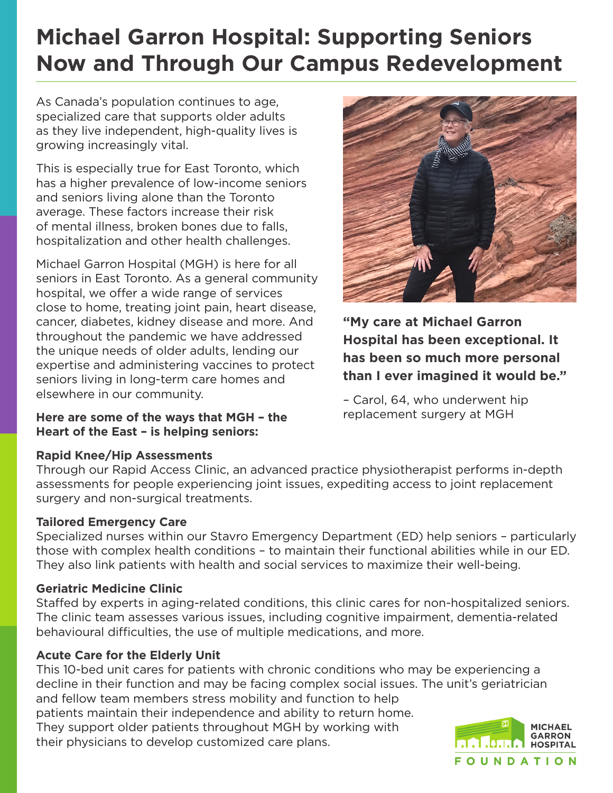# **Michael Garron Hospital: Supporting Seniors Now and Through Our Campus Redevelopment**

As Canada's population continues to age, specialized care that supports older adults as they live independent, high-quality lives is growing increasingly vital.

This is especially true for East Toronto, which has a higher prevalence of low-income seniors and seniors living alone than the Toronto average. These factors increase their risk of mental illness, broken bones due to falls, hospitalization and other health challenges.

Michael Garron Hospital (MGH) is here for all seniors in East Toronto. As a general community hospital, we offer a wide range of services close to home, treating joint pain, heart disease, cancer, diabetes, kidney disease and more. And throughout the pandemic we have addressed the unique needs of older adults, lending our expertise and administering vaccines to protect seniors living in long-term care homes and elsewhere in our community.

**Here are some of the ways that MGH – the Heart of the East – is helping seniors:**

### **Rapid Knee/Hip Assessments**

Through our Rapid Access Clinic, an advanced practice physiotherapist performs in-depth assessments for people experiencing joint issues, expediting access to joint replacement surgery and non-surgical treatments.

### **Tailored Emergency Care**

Specialized nurses within our Stavro Emergency Department (ED) help seniors – particularly those with complex health conditions – to maintain their functional abilities while in our ED. They also link patients with health and social services to maximize their well-being.

### **Geriatric Medicine Clinic**

Staffed by experts in aging-related conditions, this clinic cares for non-hospitalized seniors. The clinic team assesses various issues, including cognitive impairment, dementia-related behavioural difficulties, the use of multiple medications, and more.

### **Acute Care for the Elderly Unit**

This 10-bed unit cares for patients with chronic conditions who may be experiencing a decline in their function and may be facing complex social issues. The unit's geriatrician and fellow team members stress mobility and function to help patients maintain their independence and ability to return home. They support older patients throughout MGH by working with their physicians to develop customized care plans.



**"My care at Michael Garron Hospital has been exceptional. It has been so much more personal than I ever imagined it would be."** 

– Carol, 64, who underwent hip replacement surgery at MGH